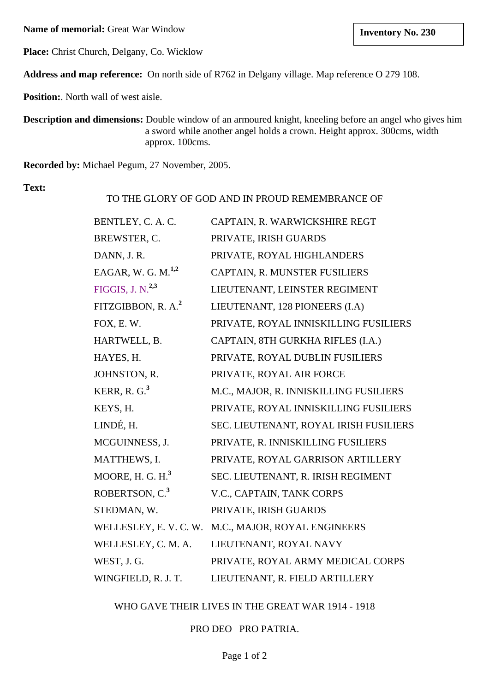**Name of memorial:** Great War Window **lines and Service 2008 lines 10. 230 lines 10. 230** 

**Place:** Christ Church, Delgany, Co. Wicklow

**Address and map reference:** On north side of R762 in Delgany village. Map reference O 279 108.

**Position:**. North wall of west aisle.

**Description and dimensions:** Double window of an armoured knight, kneeling before an angel who gives him a sword while another angel holds a crown. Height approx. 300cms, width approx. 100cms.

**Recorded by:** Michael Pegum, 27 November, 2005.

**Text:**

TO THE GLORY OF GOD AND IN PROUD REMEMBRANCE OF

| BENTLEY, C. A. C.              | CAPTAIN, R. WARWICKSHIRE REGT          |
|--------------------------------|----------------------------------------|
| BREWSTER, C.                   | PRIVATE, IRISH GUARDS                  |
| DANN, J. R.                    | PRIVATE, ROYAL HIGHLANDERS             |
| EAGAR, W. G. M. <sup>1,2</sup> | CAPTAIN, R. MUNSTER FUSILIERS          |
| FIGGIS, J. N. $^{2,3}$         | LIEUTENANT, LEINSTER REGIMENT          |
| FITZGIBBON, R. A. <sup>2</sup> | LIEUTENANT, 128 PIONEERS (I.A)         |
| FOX, E.W.                      | PRIVATE, ROYAL INNISKILLING FUSILIERS  |
| HARTWELL, B.                   | CAPTAIN, 8TH GURKHA RIFLES (I.A.)      |
| HAYES, H.                      | PRIVATE, ROYAL DUBLIN FUSILIERS        |
| JOHNSTON, R.                   | PRIVATE, ROYAL AIR FORCE               |
| KERR, R. G. $3$                | M.C., MAJOR, R. INNISKILLING FUSILIERS |
| KEYS, H.                       | PRIVATE, ROYAL INNISKILLING FUSILIERS  |
| LINDÉ, H.                      | SEC. LIEUTENANT, ROYAL IRISH FUSILIERS |
| MCGUINNESS, J.                 | PRIVATE, R. INNISKILLING FUSILIERS     |
| MATTHEWS, I.                   | PRIVATE, ROYAL GARRISON ARTILLERY      |
| MOORE, H. G. H. $3$            | SEC. LIEUTENANT, R. IRISH REGIMENT     |
| ROBERTSON, C. <sup>3</sup>     | V.C., CAPTAIN, TANK CORPS              |
| STEDMAN, W.                    | PRIVATE, IRISH GUARDS                  |
| WELLESLEY, E.V.C.W.            | M.C., MAJOR, ROYAL ENGINEERS           |
| WELLESLEY, C. M. A.            | LIEUTENANT, ROYAL NAVY                 |
| WEST, J. G.                    | PRIVATE, ROYAL ARMY MEDICAL CORPS      |
| WINGFIELD, R. J. T.            | LIEUTENANT, R. FIELD ARTILLERY         |

WHO GAVE THEIR LIVES IN THE GREAT WAR 1914 - 1918

PRO DEO PRO PATRIA.